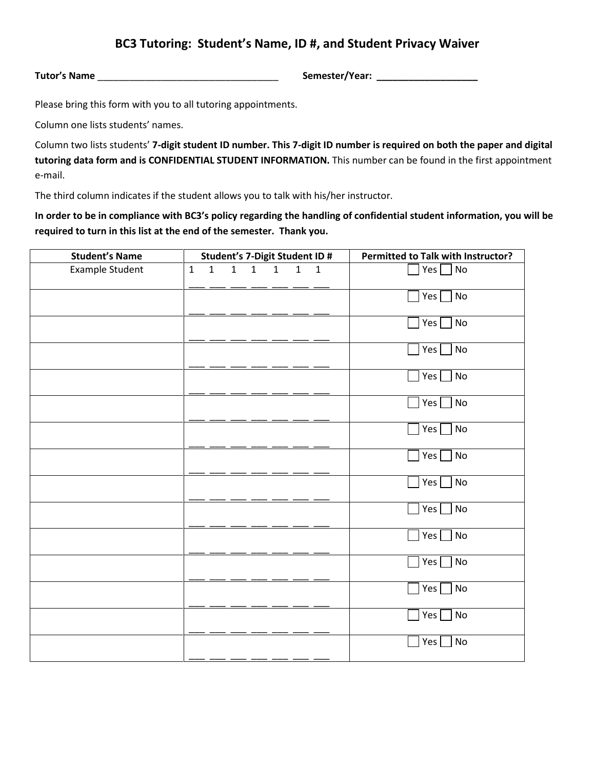## **BC3 Tutoring: Student's Name, ID #, and Student Privacy Waiver**

**Tutor's Name** \_\_\_\_\_\_\_\_\_\_\_\_\_\_\_\_\_\_\_\_\_\_\_\_\_\_\_\_\_\_\_\_\_\_ **Semester/Year: \_\_\_\_\_\_\_\_\_\_\_\_\_\_\_\_\_\_\_**

Please bring this form with you to all tutoring appointments.

Column one lists students' names.

Column two lists students' **7-digit student ID number. This 7-digit ID number is required on both the paper and digital tutoring data form and is CONFIDENTIAL STUDENT INFORMATION.** This number can be found in the first appointment e-mail.

The third column indicates if the student allows you to talk with his/her instructor.

**In order to be in compliance with BC3's policy regarding the handling of confidential student information, you will be required to turn in this list at the end of the semester. Thank you.**

| <b>Student's Name</b> | Student's 7-Digit Student ID # |              |   |   |              |              |              | Permitted to Talk with Instructor? |
|-----------------------|--------------------------------|--------------|---|---|--------------|--------------|--------------|------------------------------------|
| Example Student       | $\mathbf{1}$                   | $\mathbf{1}$ | 1 | 1 | $\mathbf{1}$ | $\mathbf{1}$ | $\mathbf{1}$ | $Yes \Box No$                      |
|                       |                                |              |   |   |              |              |              | Yes $\Box$ No                      |
|                       |                                |              |   |   |              |              |              | $\sqrt{ }$ No<br>Yes               |
|                       |                                |              |   |   |              |              |              | No<br>Yes                          |
|                       |                                |              |   |   |              |              |              | Yes $\Box$ No                      |
|                       |                                |              |   |   |              |              |              | $\Box$ No<br>Yes                   |
|                       |                                |              |   |   |              |              |              | $\sqrt{N}$<br>Yes                  |
|                       |                                |              |   |   |              |              |              | No<br>Yes                          |
|                       |                                |              |   |   |              |              |              | No<br>Yes                          |
|                       |                                |              |   |   |              |              |              | $\blacksquare$ No<br>Yes           |
|                       |                                |              |   |   |              |              |              | N <sub>o</sub><br>Yes              |
|                       |                                |              |   |   |              |              |              | $\Box$ No<br>Yes                   |
|                       |                                |              |   |   |              |              |              | Yes<br>$\blacksquare$ No           |
|                       |                                |              |   |   |              |              |              | $\sqrt{\phantom{a}}$ No<br>Yes     |
|                       |                                |              |   |   |              |              |              | Yes<br>No                          |